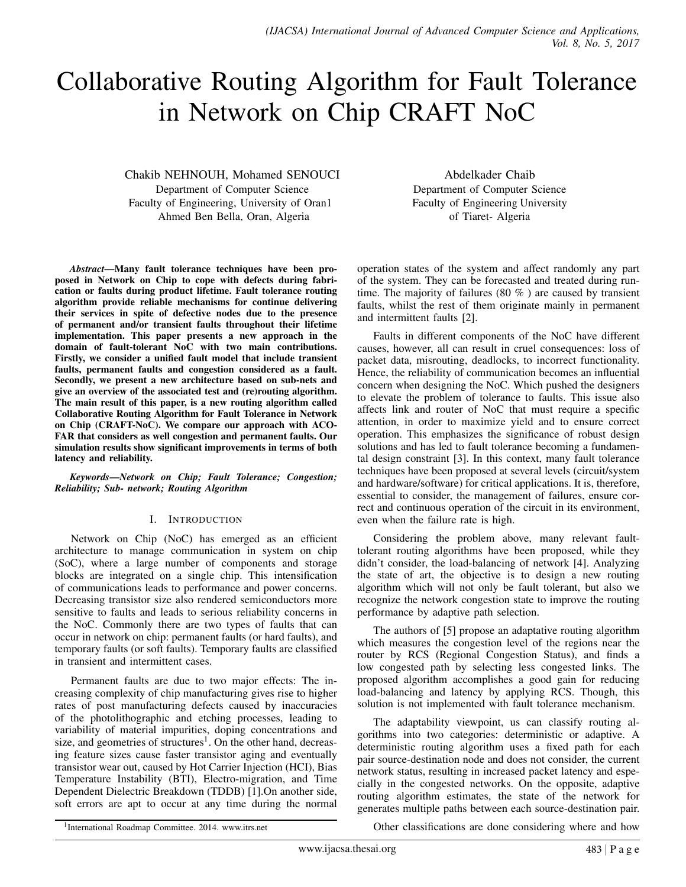# Collaborative Routing Algorithm for Fault Tolerance in Network on Chip CRAFT NoC

Chakib NEHNOUH, Mohamed SENOUCI Department of Computer Science Faculty of Engineering, University of Oran1 Ahmed Ben Bella, Oran, Algeria

Abdelkader Chaib Department of Computer Science Faculty of Engineering University of Tiaret- Algeria

*Abstract*—Many fault tolerance techniques have been proposed in Network on Chip to cope with defects during fabrication or faults during product lifetime. Fault tolerance routing algorithm provide reliable mechanisms for continue delivering their services in spite of defective nodes due to the presence of permanent and/or transient faults throughout their lifetime implementation. This paper presents a new approach in the domain of fault-tolerant NoC with two main contributions. Firstly, we consider a unified fault model that include transient faults, permanent faults and congestion considered as a fault. Secondly, we present a new architecture based on sub-nets and give an overview of the associated test and (re)routing algorithm. The main result of this paper, is a new routing algorithm called Collaborative Routing Algorithm for Fault Tolerance in Network on Chip (CRAFT-NoC). We compare our approach with ACO-FAR that considers as well congestion and permanent faults. Our simulation results show significant improvements in terms of both latency and reliability.

*Keywords*—*Network on Chip; Fault Tolerance; Congestion; Reliability; Sub- network; Routing Algorithm*

## I. INTRODUCTION

Network on Chip (NoC) has emerged as an efficient architecture to manage communication in system on chip (SoC), where a large number of components and storage blocks are integrated on a single chip. This intensification of communications leads to performance and power concerns. Decreasing transistor size also rendered semiconductors more sensitive to faults and leads to serious reliability concerns in the NoC. Commonly there are two types of faults that can occur in network on chip: permanent faults (or hard faults), and temporary faults (or soft faults). Temporary faults are classified in transient and intermittent cases.

Permanent faults are due to two major effects: The increasing complexity of chip manufacturing gives rise to higher rates of post manufacturing defects caused by inaccuracies of the photolithographic and etching processes, leading to variability of material impurities, doping concentrations and size, and geometries of structures<sup>1</sup>. On the other hand, decreasing feature sizes cause faster transistor aging and eventually transistor wear out, caused by Hot Carrier Injection (HCI), Bias Temperature Instability (BTI), Electro-migration, and Time Dependent Dielectric Breakdown (TDDB) [1].On another side, soft errors are apt to occur at any time during the normal operation states of the system and affect randomly any part of the system. They can be forecasted and treated during runtime. The majority of failures (80 % ) are caused by transient faults, whilst the rest of them originate mainly in permanent and intermittent faults [2].

Faults in different components of the NoC have different causes, however, all can result in cruel consequences: loss of packet data, misrouting, deadlocks, to incorrect functionality. Hence, the reliability of communication becomes an influential concern when designing the NoC. Which pushed the designers to elevate the problem of tolerance to faults. This issue also affects link and router of NoC that must require a specific attention, in order to maximize yield and to ensure correct operation. This emphasizes the significance of robust design solutions and has led to fault tolerance becoming a fundamental design constraint [3]. In this context, many fault tolerance techniques have been proposed at several levels (circuit/system and hardware/software) for critical applications. It is, therefore, essential to consider, the management of failures, ensure correct and continuous operation of the circuit in its environment, even when the failure rate is high.

Considering the problem above, many relevant faulttolerant routing algorithms have been proposed, while they didn't consider, the load-balancing of network [4]. Analyzing the state of art, the objective is to design a new routing algorithm which will not only be fault tolerant, but also we recognize the network congestion state to improve the routing performance by adaptive path selection.

The authors of [5] propose an adaptative routing algorithm which measures the congestion level of the regions near the router by RCS (Regional Congestion Status), and finds a low congested path by selecting less congested links. The proposed algorithm accomplishes a good gain for reducing load-balancing and latency by applying RCS. Though, this solution is not implemented with fault tolerance mechanism.

The adaptability viewpoint, us can classify routing algorithms into two categories: deterministic or adaptive. A deterministic routing algorithm uses a fixed path for each pair source-destination node and does not consider, the current network status, resulting in increased packet latency and especially in the congested networks. On the opposite, adaptive routing algorithm estimates, the state of the network for generates multiple paths between each source-destination pair.

Other classifications are done considering where and how

<sup>1</sup> International Roadmap Committee. 2014. www.itrs.net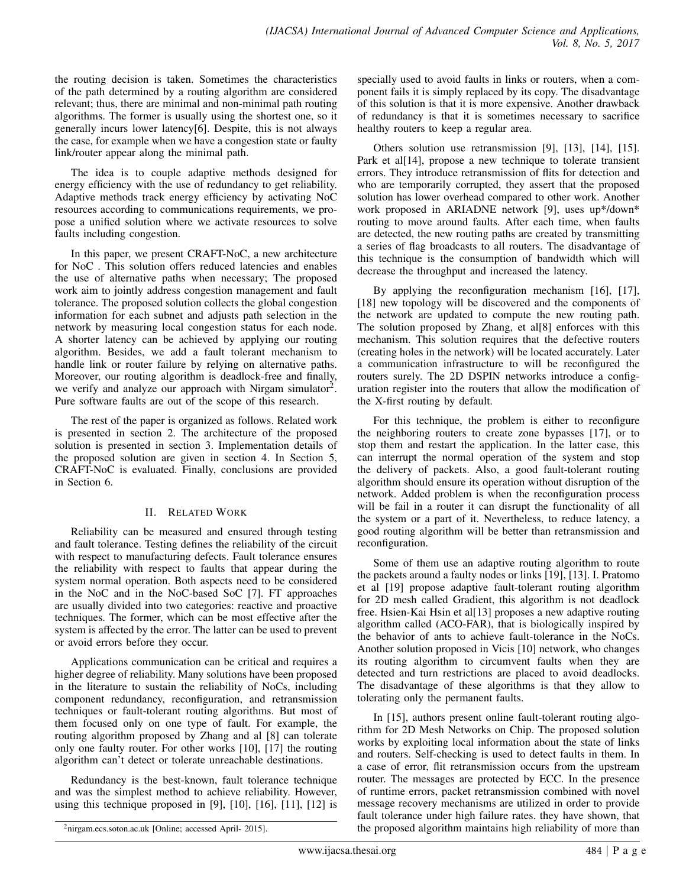the routing decision is taken. Sometimes the characteristics of the path determined by a routing algorithm are considered relevant; thus, there are minimal and non-minimal path routing algorithms. The former is usually using the shortest one, so it generally incurs lower latency[6]. Despite, this is not always the case, for example when we have a congestion state or faulty link/router appear along the minimal path.

The idea is to couple adaptive methods designed for energy efficiency with the use of redundancy to get reliability. Adaptive methods track energy efficiency by activating NoC resources according to communications requirements, we propose a unified solution where we activate resources to solve faults including congestion.

In this paper, we present CRAFT-NoC, a new architecture for NoC . This solution offers reduced latencies and enables the use of alternative paths when necessary; The proposed work aim to jointly address congestion management and fault tolerance. The proposed solution collects the global congestion information for each subnet and adjusts path selection in the network by measuring local congestion status for each node. A shorter latency can be achieved by applying our routing algorithm. Besides, we add a fault tolerant mechanism to handle link or router failure by relying on alternative paths. Moreover, our routing algorithm is deadlock-free and finally, we verify and analyze our approach with Nirgam simulator<sup>2</sup>. Pure software faults are out of the scope of this research.

The rest of the paper is organized as follows. Related work is presented in section 2. The architecture of the proposed solution is presented in section 3. Implementation details of the proposed solution are given in section 4. In Section 5, CRAFT-NoC is evaluated. Finally, conclusions are provided in Section 6.

# II. RELATED WORK

Reliability can be measured and ensured through testing and fault tolerance. Testing defines the reliability of the circuit with respect to manufacturing defects. Fault tolerance ensures the reliability with respect to faults that appear during the system normal operation. Both aspects need to be considered in the NoC and in the NoC-based SoC [7]. FT approaches are usually divided into two categories: reactive and proactive techniques. The former, which can be most effective after the system is affected by the error. The latter can be used to prevent or avoid errors before they occur.

Applications communication can be critical and requires a higher degree of reliability. Many solutions have been proposed in the literature to sustain the reliability of NoCs, including component redundancy, reconfiguration, and retransmission techniques or fault-tolerant routing algorithms. But most of them focused only on one type of fault. For example, the routing algorithm proposed by Zhang and al [8] can tolerate only one faulty router. For other works [10], [17] the routing algorithm can't detect or tolerate unreachable destinations.

Redundancy is the best-known, fault tolerance technique and was the simplest method to achieve reliability. However, using this technique proposed in  $[9]$ ,  $[10]$ ,  $[16]$ ,  $[11]$ ,  $[12]$  is specially used to avoid faults in links or routers, when a component fails it is simply replaced by its copy. The disadvantage of this solution is that it is more expensive. Another drawback of redundancy is that it is sometimes necessary to sacrifice healthy routers to keep a regular area.

Others solution use retransmission [9], [13], [14], [15]. Park et al[14], propose a new technique to tolerate transient errors. They introduce retransmission of flits for detection and who are temporarily corrupted, they assert that the proposed solution has lower overhead compared to other work. Another work proposed in ARIADNE network [9], uses up\*/down\* routing to move around faults. After each time, when faults are detected, the new routing paths are created by transmitting a series of flag broadcasts to all routers. The disadvantage of this technique is the consumption of bandwidth which will decrease the throughput and increased the latency.

By applying the reconfiguration mechanism [16], [17], [18] new topology will be discovered and the components of the network are updated to compute the new routing path. The solution proposed by Zhang, et al[8] enforces with this mechanism. This solution requires that the defective routers (creating holes in the network) will be located accurately. Later a communication infrastructure to will be reconfigured the routers surely. The 2D DSPIN networks introduce a configuration register into the routers that allow the modification of the X-first routing by default.

For this technique, the problem is either to reconfigure the neighboring routers to create zone bypasses [17], or to stop them and restart the application. In the latter case, this can interrupt the normal operation of the system and stop the delivery of packets. Also, a good fault-tolerant routing algorithm should ensure its operation without disruption of the network. Added problem is when the reconfiguration process will be fail in a router it can disrupt the functionality of all the system or a part of it. Nevertheless, to reduce latency, a good routing algorithm will be better than retransmission and reconfiguration.

Some of them use an adaptive routing algorithm to route the packets around a faulty nodes or links [19], [13]. I. Pratomo et al [19] propose adaptive fault-tolerant routing algorithm for 2D mesh called Gradient, this algorithm is not deadlock free. Hsien-Kai Hsin et al[13] proposes a new adaptive routing algorithm called (ACO-FAR), that is biologically inspired by the behavior of ants to achieve fault-tolerance in the NoCs. Another solution proposed in Vicis [10] network, who changes its routing algorithm to circumvent faults when they are detected and turn restrictions are placed to avoid deadlocks. The disadvantage of these algorithms is that they allow to tolerating only the permanent faults.

In [15], authors present online fault-tolerant routing algorithm for 2D Mesh Networks on Chip. The proposed solution works by exploiting local information about the state of links and routers. Self-checking is used to detect faults in them. In a case of error, flit retransmission occurs from the upstream router. The messages are protected by ECC. In the presence of runtime errors, packet retransmission combined with novel message recovery mechanisms are utilized in order to provide fault tolerance under high failure rates. they have shown, that the proposed algorithm maintains high reliability of more than

<sup>2</sup>nirgam.ecs.soton.ac.uk [Online; accessed April- 2015].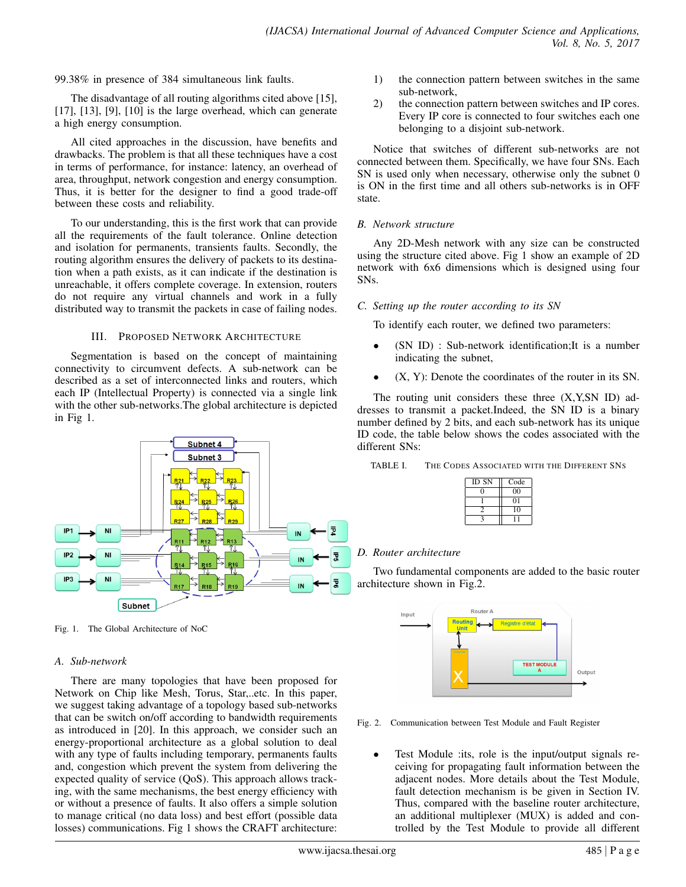99.38% in presence of 384 simultaneous link faults.

The disadvantage of all routing algorithms cited above [15],  $[17]$ ,  $[13]$ ,  $[9]$ ,  $[10]$  is the large overhead, which can generate a high energy consumption.

All cited approaches in the discussion, have benefits and drawbacks. The problem is that all these techniques have a cost in terms of performance, for instance: latency, an overhead of area, throughput, network congestion and energy consumption. Thus, it is better for the designer to find a good trade-off between these costs and reliability.

To our understanding, this is the first work that can provide all the requirements of the fault tolerance. Online detection and isolation for permanents, transients faults. Secondly, the routing algorithm ensures the delivery of packets to its destination when a path exists, as it can indicate if the destination is unreachable, it offers complete coverage. In extension, routers do not require any virtual channels and work in a fully distributed way to transmit the packets in case of failing nodes.

## III. PROPOSED NETWORK ARCHITECTURE

Segmentation is based on the concept of maintaining connectivity to circumvent defects. A sub-network can be described as a set of interconnected links and routers, which each IP (Intellectual Property) is connected via a single link with the other sub-networks.The global architecture is depicted in Fig 1.



Fig. 1. The Global Architecture of NoC

## *A. Sub-network*

There are many topologies that have been proposed for Network on Chip like Mesh, Torus, Star,..etc. In this paper, we suggest taking advantage of a topology based sub-networks that can be switch on/off according to bandwidth requirements as introduced in [20]. In this approach, we consider such an energy-proportional architecture as a global solution to deal with any type of faults including temporary, permanents faults and, congestion which prevent the system from delivering the expected quality of service (QoS). This approach allows tracking, with the same mechanisms, the best energy efficiency with or without a presence of faults. It also offers a simple solution to manage critical (no data loss) and best effort (possible data losses) communications. Fig 1 shows the CRAFT architecture:

- 1) the connection pattern between switches in the same sub-network,
- 2) the connection pattern between switches and IP cores. Every IP core is connected to four switches each one belonging to a disjoint sub-network.

Notice that switches of different sub-networks are not connected between them. Specifically, we have four SNs. Each SN is used only when necessary, otherwise only the subnet 0 is ON in the first time and all others sub-networks is in OFF state.

## *B. Network structure*

Any 2D-Mesh network with any size can be constructed using the structure cited above. Fig 1 show an example of 2D network with 6x6 dimensions which is designed using four SNs.

## *C. Setting up the router according to its SN*

To identify each router, we defined two parameters:

- (SN ID) : Sub-network identification; It is a number indicating the subnet,
- $(X, Y)$ : Denote the coordinates of the router in its SN.

The routing unit considers these three (X,Y,SN ID) addresses to transmit a packet.Indeed, the SN ID is a binary number defined by 2 bits, and each sub-network has its unique ID code, the table below shows the codes associated with the different SNs:

TABLE I. THE CODES ASSOCIATED WITH THE DIFFERENT SNS

| ID SN | Code    |
|-------|---------|
|       | $_{00}$ |
|       | $^{01}$ |
|       | 10      |
|       |         |

# *D. Router architecture*

Two fundamental components are added to the basic router architecture shown in Fig.2.



Fig. 2. Communication between Test Module and Fault Register

• Test Module :its, role is the input/output signals receiving for propagating fault information between the adjacent nodes. More details about the Test Module, fault detection mechanism is be given in Section IV. Thus, compared with the baseline router architecture, an additional multiplexer (MUX) is added and controlled by the Test Module to provide all different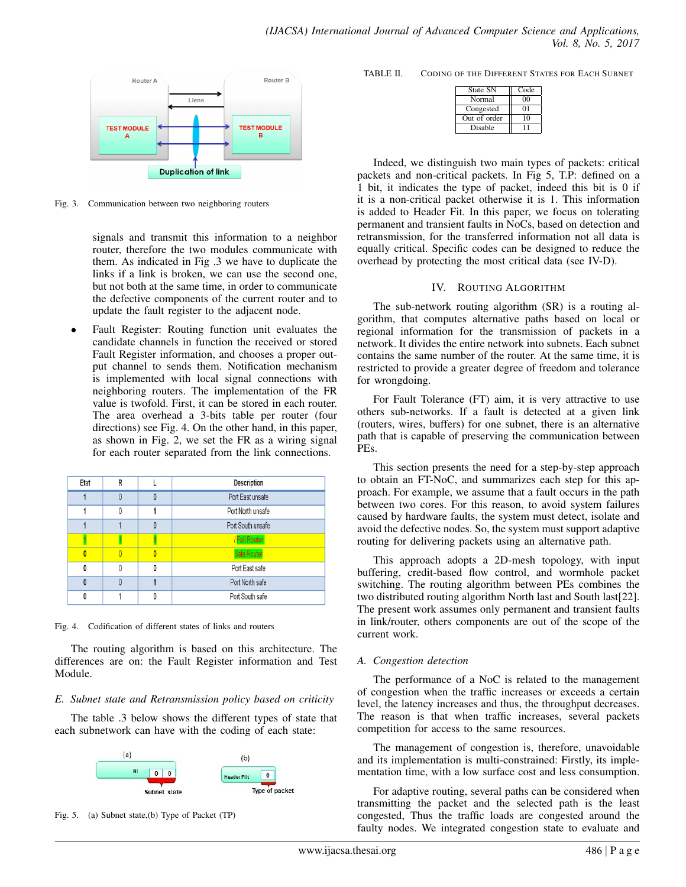

Fig. 3. Communication between two neighboring routers

signals and transmit this information to a neighbor router, therefore the two modules communicate with them. As indicated in Fig .3 we have to duplicate the links if a link is broken, we can use the second one, but not both at the same time, in order to communicate the defective components of the current router and to update the fault register to the adjacent node.

Fault Register: Routing function unit evaluates the candidate channels in function the received or stored Fault Register information, and chooses a proper output channel to sends them. Notification mechanism is implemented with local signal connections with neighboring routers. The implementation of the FR value is twofold. First, it can be stored in each router. The area overhead a 3-bits table per router (four directions) see Fig. 4. On the other hand, in this paper, as shown in Fig. 2, we set the FR as a wiring signal for each router separated from the link connections.

| Etat | R |   | Description       |
|------|---|---|-------------------|
|      |   | Λ | Port East unsafe  |
|      |   |   | Port North unsafe |
|      |   | O | Port South unsafe |
|      |   |   | Fail Router       |
|      |   | Ō | Safe Router       |
|      |   | ٨ | Port East safe    |
|      |   |   | Port North safe   |
|      |   |   | Port South safe   |

Fig. 4. Codification of different states of links and routers

The routing algorithm is based on this architecture. The differences are on: the Fault Register information and Test Module.

## *E. Subnet state and Retransmission policy based on criticity*

The table .3 below shows the different types of state that each subnetwork can have with the coding of each state:





TABLE II. CODING OF THE DIFFERENT STATES FOR EACH SUBNET

| State SN     | Code            |
|--------------|-----------------|
| Normal       | $\overline{00}$ |
| Congested    | 01              |
| Out of order | 10              |
| Disable      | 11              |

Indeed, we distinguish two main types of packets: critical packets and non-critical packets. In Fig 5, T.P: defined on a 1 bit, it indicates the type of packet, indeed this bit is 0 if it is a non-critical packet otherwise it is 1. This information is added to Header Fit. In this paper, we focus on tolerating permanent and transient faults in NoCs, based on detection and retransmission, for the transferred information not all data is equally critical. Specific codes can be designed to reduce the overhead by protecting the most critical data (see IV-D).

#### IV. ROUTING ALGORITHM

The sub-network routing algorithm (SR) is a routing algorithm, that computes alternative paths based on local or regional information for the transmission of packets in a network. It divides the entire network into subnets. Each subnet contains the same number of the router. At the same time, it is restricted to provide a greater degree of freedom and tolerance for wrongdoing.

For Fault Tolerance (FT) aim, it is very attractive to use others sub-networks. If a fault is detected at a given link (routers, wires, buffers) for one subnet, there is an alternative path that is capable of preserving the communication between PEs.

This section presents the need for a step-by-step approach to obtain an FT-NoC, and summarizes each step for this approach. For example, we assume that a fault occurs in the path between two cores. For this reason, to avoid system failures caused by hardware faults, the system must detect, isolate and avoid the defective nodes. So, the system must support adaptive routing for delivering packets using an alternative path.

This approach adopts a 2D-mesh topology, with input buffering, credit-based flow control, and wormhole packet switching. The routing algorithm between PEs combines the two distributed routing algorithm North last and South last[22]. The present work assumes only permanent and transient faults in link/router, others components are out of the scope of the current work.

## *A. Congestion detection*

The performance of a NoC is related to the management of congestion when the traffic increases or exceeds a certain level, the latency increases and thus, the throughput decreases. The reason is that when traffic increases, several packets competition for access to the same resources.

The management of congestion is, therefore, unavoidable and its implementation is multi-constrained: Firstly, its implementation time, with a low surface cost and less consumption.

For adaptive routing, several paths can be considered when transmitting the packet and the selected path is the least congested, Thus the traffic loads are congested around the faulty nodes. We integrated congestion state to evaluate and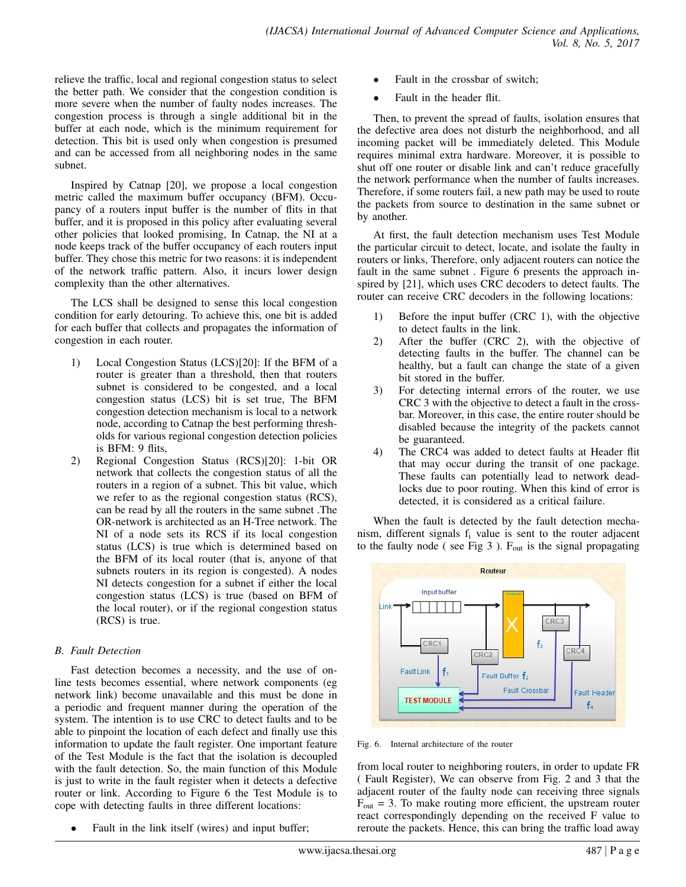relieve the traffic, local and regional congestion status to select the better path. We consider that the congestion condition is more severe when the number of faulty nodes increases. The congestion process is through a single additional bit in the buffer at each node, which is the minimum requirement for detection. This bit is used only when congestion is presumed and can be accessed from all neighboring nodes in the same subnet.

Inspired by Catnap [20], we propose a local congestion metric called the maximum buffer occupancy (BFM). Occupancy of a routers input buffer is the number of flits in that buffer, and it is proposed in this policy after evaluating several other policies that looked promising, In Catnap, the NI at a node keeps track of the buffer occupancy of each routers input buffer. They chose this metric for two reasons: it is independent of the network traffic pattern. Also, it incurs lower design complexity than the other alternatives.

The LCS shall be designed to sense this local congestion condition for early detouring. To achieve this, one bit is added for each buffer that collects and propagates the information of congestion in each router.

- 1) Local Congestion Status (LCS)[20]: If the BFM of a router is greater than a threshold, then that routers subnet is considered to be congested, and a local congestion status (LCS) bit is set true, The BFM congestion detection mechanism is local to a network node, according to Catnap the best performing thresholds for various regional congestion detection policies is BFM: 9 flits,
- 2) Regional Congestion Status (RCS)[20]: 1-bit OR network that collects the congestion status of all the routers in a region of a subnet. This bit value, which we refer to as the regional congestion status (RCS), can be read by all the routers in the same subnet .The OR-network is architected as an H-Tree network. The NI of a node sets its RCS if its local congestion status (LCS) is true which is determined based on the BFM of its local router (that is, anyone of that subnets routers in its region is congested). A nodes NI detects congestion for a subnet if either the local congestion status (LCS) is true (based on BFM of the local router), or if the regional congestion status (RCS) is true.

# *B. Fault Detection*

Fast detection becomes a necessity, and the use of online tests becomes essential, where network components (eg network link) become unavailable and this must be done in a periodic and frequent manner during the operation of the system. The intention is to use CRC to detect faults and to be able to pinpoint the location of each defect and finally use this information to update the fault register. One important feature of the Test Module is the fact that the isolation is decoupled with the fault detection. So, the main function of this Module is just to write in the fault register when it detects a defective router or link. According to Figure 6 the Test Module is to cope with detecting faults in three different locations:

Fault in the link itself (wires) and input buffer;

- Fault in the crossbar of switch;
- Fault in the header flit.

Then, to prevent the spread of faults, isolation ensures that the defective area does not disturb the neighborhood, and all incoming packet will be immediately deleted. This Module requires minimal extra hardware. Moreover, it is possible to shut off one router or disable link and can't reduce gracefully the network performance when the number of faults increases. Therefore, if some routers fail, a new path may be used to route the packets from source to destination in the same subnet or by another.

At first, the fault detection mechanism uses Test Module the particular circuit to detect, locate, and isolate the faulty in routers or links, Therefore, only adjacent routers can notice the fault in the same subnet . Figure 6 presents the approach inspired by [21], which uses CRC decoders to detect faults. The router can receive CRC decoders in the following locations:

- 1) Before the input buffer (CRC 1), with the objective to detect faults in the link.
- 2) After the buffer (CRC 2), with the objective of detecting faults in the buffer. The channel can be healthy, but a fault can change the state of a given bit stored in the buffer.
- 3) For detecting internal errors of the router, we use CRC 3 with the objective to detect a fault in the crossbar. Moreover, in this case, the entire router should be disabled because the integrity of the packets cannot be guaranteed.
- 4) The CRC4 was added to detect faults at Header flit that may occur during the transit of one package. These faults can potentially lead to network deadlocks due to poor routing. When this kind of error is detected, it is considered as a critical failure.

When the fault is detected by the fault detection mechanism, different signals  $f_i$  value is sent to the router adjacent to the faulty node (see Fig 3).  $F_{out}$  is the signal propagating



Fig. 6. Internal architecture of the router

from local router to neighboring routers, in order to update FR ( Fault Register), We can observe from Fig. 2 and 3 that the adjacent router of the faulty node can receiving three signals  $F_{\text{out}} = 3$ . To make routing more efficient, the upstream router react correspondingly depending on the received F value to reroute the packets. Hence, this can bring the traffic load away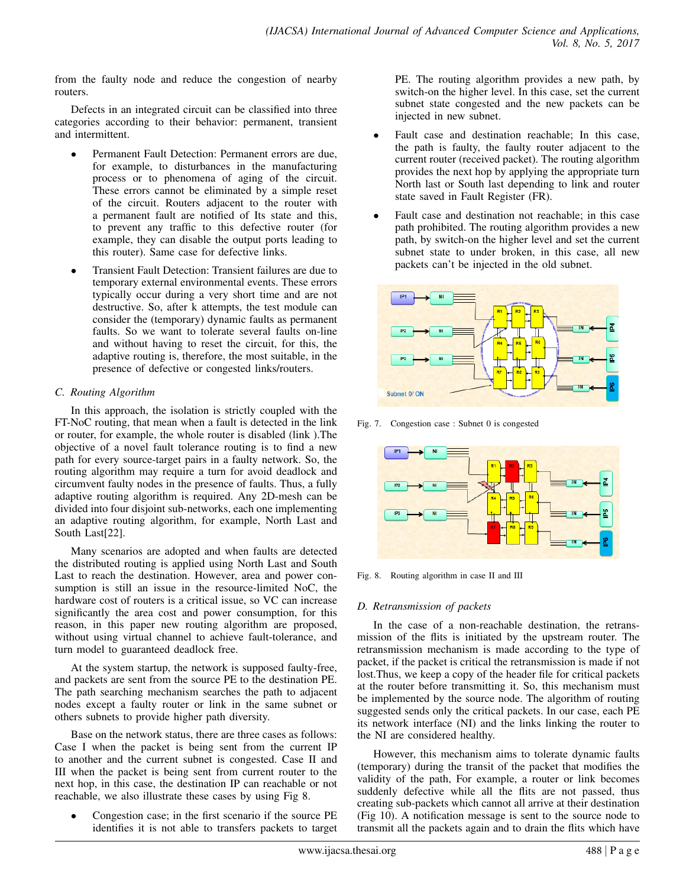from the faulty node and reduce the congestion of nearby routers.

Defects in an integrated circuit can be classified into three categories according to their behavior: permanent, transient and intermittent.

- Permanent Fault Detection: Permanent errors are due, for example, to disturbances in the manufacturing process or to phenomena of aging of the circuit. These errors cannot be eliminated by a simple reset of the circuit. Routers adjacent to the router with a permanent fault are notified of Its state and this, to prevent any traffic to this defective router (for example, they can disable the output ports leading to this router). Same case for defective links.
- Transient Fault Detection: Transient failures are due to temporary external environmental events. These errors typically occur during a very short time and are not destructive. So, after k attempts, the test module can consider the (temporary) dynamic faults as permanent faults. So we want to tolerate several faults on-line and without having to reset the circuit, for this, the adaptive routing is, therefore, the most suitable, in the presence of defective or congested links/routers.

# *C. Routing Algorithm*

In this approach, the isolation is strictly coupled with the FT-NoC routing, that mean when a fault is detected in the link or router, for example, the whole router is disabled (link ).The objective of a novel fault tolerance routing is to find a new path for every source-target pairs in a faulty network. So, the routing algorithm may require a turn for avoid deadlock and circumvent faulty nodes in the presence of faults. Thus, a fully adaptive routing algorithm is required. Any 2D-mesh can be divided into four disjoint sub-networks, each one implementing an adaptive routing algorithm, for example, North Last and South Last[22].

Many scenarios are adopted and when faults are detected the distributed routing is applied using North Last and South Last to reach the destination. However, area and power consumption is still an issue in the resource-limited NoC, the hardware cost of routers is a critical issue, so VC can increase significantly the area cost and power consumption, for this reason, in this paper new routing algorithm are proposed, without using virtual channel to achieve fault-tolerance, and turn model to guaranteed deadlock free.

At the system startup, the network is supposed faulty-free, and packets are sent from the source PE to the destination PE. The path searching mechanism searches the path to adjacent nodes except a faulty router or link in the same subnet or others subnets to provide higher path diversity.

Base on the network status, there are three cases as follows: Case I when the packet is being sent from the current IP to another and the current subnet is congested. Case II and III when the packet is being sent from current router to the next hop, in this case, the destination IP can reachable or not reachable, we also illustrate these cases by using Fig 8.

• Congestion case; in the first scenario if the source PE identifies it is not able to transfers packets to target PE. The routing algorithm provides a new path, by switch-on the higher level. In this case, set the current subnet state congested and the new packets can be injected in new subnet.

- Fault case and destination reachable; In this case, the path is faulty, the faulty router adjacent to the current router (received packet). The routing algorithm provides the next hop by applying the appropriate turn North last or South last depending to link and router state saved in Fault Register (FR).
- Fault case and destination not reachable; in this case path prohibited. The routing algorithm provides a new path, by switch-on the higher level and set the current subnet state to under broken, in this case, all new packets can't be injected in the old subnet.



Fig. 7. Congestion case : Subnet 0 is congested



Fig. 8. Routing algorithm in case II and III

# *D. Retransmission of packets*

In the case of a non-reachable destination, the retransmission of the flits is initiated by the upstream router. The retransmission mechanism is made according to the type of packet, if the packet is critical the retransmission is made if not lost.Thus, we keep a copy of the header file for critical packets at the router before transmitting it. So, this mechanism must be implemented by the source node. The algorithm of routing suggested sends only the critical packets. In our case, each PE its network interface (NI) and the links linking the router to the NI are considered healthy.

However, this mechanism aims to tolerate dynamic faults (temporary) during the transit of the packet that modifies the validity of the path, For example, a router or link becomes suddenly defective while all the flits are not passed, thus creating sub-packets which cannot all arrive at their destination (Fig 10). A notification message is sent to the source node to transmit all the packets again and to drain the flits which have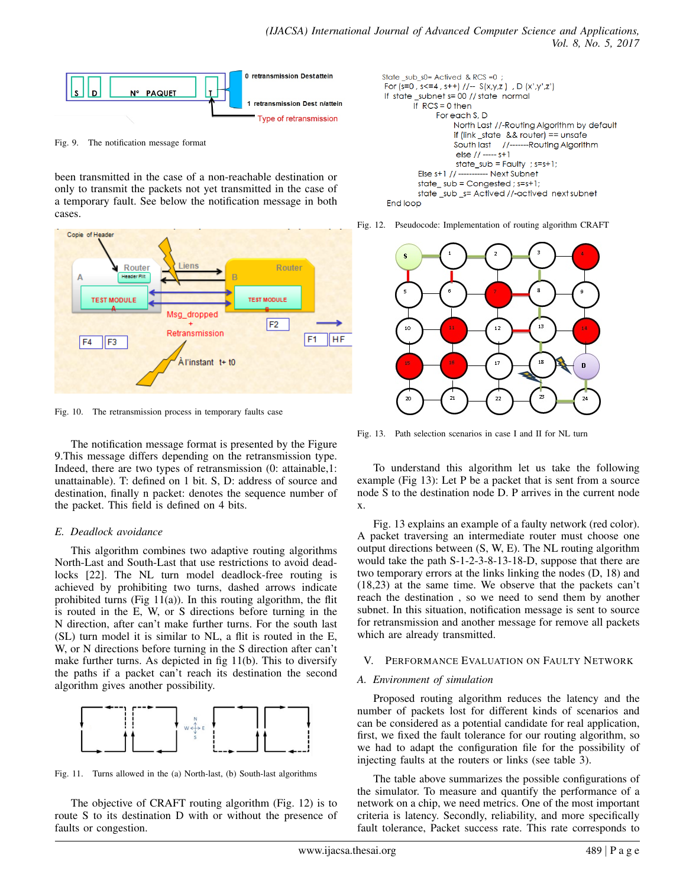

Fig. 9. The notification message format

been transmitted in the case of a non-reachable destination or only to transmit the packets not yet transmitted in the case of a temporary fault. See below the notification message in both cases.



Fig. 10. The retransmission process in temporary faults case

The notification message format is presented by the Figure 9.This message differs depending on the retransmission type. Indeed, there are two types of retransmission (0: attainable,1: unattainable). T: defined on 1 bit. S, D: address of source and destination, finally n packet: denotes the sequence number of the packet. This field is defined on 4 bits.

# *E. Deadlock avoidance*

This algorithm combines two adaptive routing algorithms North-Last and South-Last that use restrictions to avoid deadlocks [22]. The NL turn model deadlock-free routing is achieved by prohibiting two turns, dashed arrows indicate prohibited turns (Fig  $11(a)$ ). In this routing algorithm, the flit is routed in the E, W, or S directions before turning in the N direction, after can't make further turns. For the south last (SL) turn model it is similar to NL, a flit is routed in the E, W, or N directions before turning in the S direction after can't make further turns. As depicted in fig 11(b). This to diversify the paths if a packet can't reach its destination the second algorithm gives another possibility.



Fig. 11. Turns allowed in the (a) North-last, (b) South-last algorithms

The objective of CRAFT routing algorithm (Fig. 12) is to route S to its destination D with or without the presence of faults or congestion.

```
State_sub_s0= Actived & RCS =0;
For (s=0, s<=4, s++) //-- S(x,y,z), D(x',y',z')If state_subnet s= 00 // state normal
       If RCS = 0 then
              For each S, D
                  North Last //-Routing Algorithm by default
                  if (link_state && router) == unsafe
                  South last //-------Routing Algorithm
                   else // ----- s+1
                   state\_sub = Faulty ; s=s+1;
         Else s+1 //-
                        ----- Next Subnet
         state_sub = Congested; s=s+1;
         state_sub_s= Actived //-actived next subnet
```
End loop

Fig. 12. Pseudocode: Implementation of routing algorithm CRAFT



Fig. 13. Path selection scenarios in case I and II for NL turn

To understand this algorithm let us take the following example (Fig 13): Let P be a packet that is sent from a source node S to the destination node D. P arrives in the current node x.

Fig. 13 explains an example of a faulty network (red color). A packet traversing an intermediate router must choose one output directions between (S, W, E). The NL routing algorithm would take the path S-1-2-3-8-13-18-D, suppose that there are two temporary errors at the links linking the nodes (D, 18) and (18,23) at the same time. We observe that the packets can't reach the destination , so we need to send them by another subnet. In this situation, notification message is sent to source for retransmission and another message for remove all packets which are already transmitted.

# V. PERFORMANCE EVALUATION ON FAULTY NETWORK

## *A. Environment of simulation*

Proposed routing algorithm reduces the latency and the number of packets lost for different kinds of scenarios and can be considered as a potential candidate for real application, first, we fixed the fault tolerance for our routing algorithm, so we had to adapt the configuration file for the possibility of injecting faults at the routers or links (see table 3).

The table above summarizes the possible configurations of the simulator. To measure and quantify the performance of a network on a chip, we need metrics. One of the most important criteria is latency. Secondly, reliability, and more specifically fault tolerance, Packet success rate. This rate corresponds to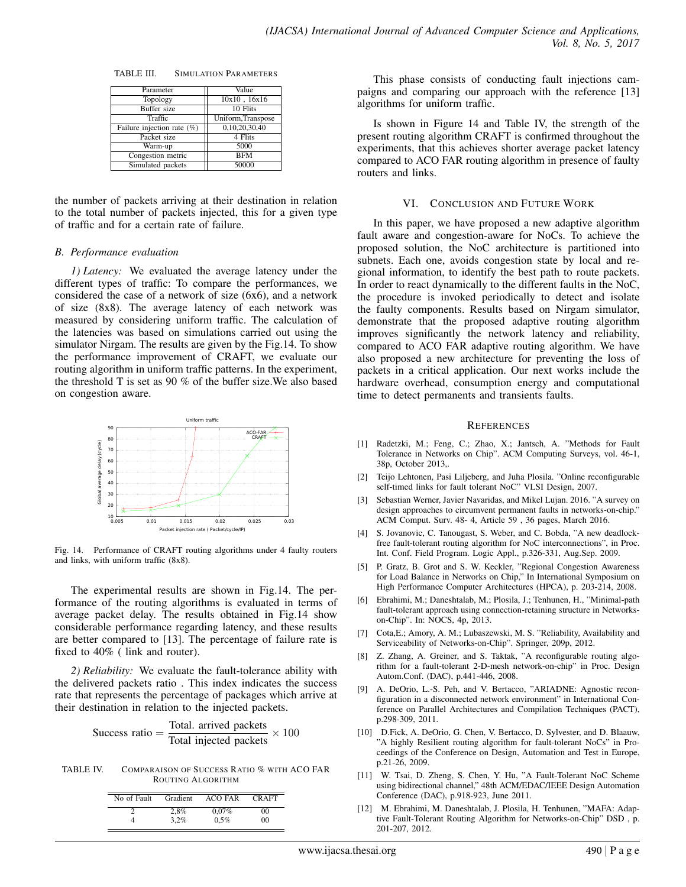TABLE III. SIMULATION PARAMETERS

| Parameter                     | Value              |
|-------------------------------|--------------------|
| Topology                      | $10x10$ , $16x16$  |
| <b>Buffer</b> size            | $10$ Flits         |
| Traffic                       | Uniform, Transpose |
| Failure injection rate $(\%)$ | 0,10,20,30,40      |
| Packet size                   | 4 Flits            |
| Warm-up                       | 5000               |
| Congestion metric             | <b>BFM</b>         |
| Simulated packets             | 50000              |

the number of packets arriving at their destination in relation to the total number of packets injected, this for a given type of traffic and for a certain rate of failure.

#### *B. Performance evaluation*

*1) Latency:* We evaluated the average latency under the different types of traffic: To compare the performances, we considered the case of a network of size (6x6), and a network of size (8x8). The average latency of each network was measured by considering uniform traffic. The calculation of the latencies was based on simulations carried out using the simulator Nirgam. The results are given by the Fig.14. To show the performance improvement of CRAFT, we evaluate our routing algorithm in uniform traffic patterns. In the experiment, the threshold T is set as 90 % of the buffer size.We also based on congestion aware.



Fig. 14. Performance of CRAFT routing algorithms under 4 faulty routers and links, with uniform traffic (8x8).

The experimental results are shown in Fig.14. The performance of the routing algorithms is evaluated in terms of average packet delay. The results obtained in Fig.14 show considerable performance regarding latency, and these results are better compared to [13]. The percentage of failure rate is fixed to 40% ( link and router).

*2) Reliability:* We evaluate the fault-tolerance ability with the delivered packets ratio . This index indicates the success rate that represents the percentage of packages which arrive at their destination in relation to the injected packets.

$$
Success ratio = \frac{Total. arrived packets}{Total injected packets} \times 100
$$

TABLE IV. COMPARAISON OF SUCCESS RATIO % WITH ACO FAR ROUTING ALGORITHM

| No of Fault | Gradient | <b>ACO FAR</b> | <b>CRAFT</b>   |
|-------------|----------|----------------|----------------|
|             | 2.8%     | 0.07%          | 0 <sup>0</sup> |
|             | 3.2%     | 0.5%           | 0 <sup>0</sup> |

This phase consists of conducting fault injections campaigns and comparing our approach with the reference [13] algorithms for uniform traffic.

Is shown in Figure 14 and Table IV, the strength of the present routing algorithm CRAFT is confirmed throughout the experiments, that this achieves shorter average packet latency compared to ACO FAR routing algorithm in presence of faulty routers and links.

#### VI. CONCLUSION AND FUTURE WORK

In this paper, we have proposed a new adaptive algorithm fault aware and congestion-aware for NoCs. To achieve the proposed solution, the NoC architecture is partitioned into subnets. Each one, avoids congestion state by local and regional information, to identify the best path to route packets. In order to react dynamically to the different faults in the NoC, the procedure is invoked periodically to detect and isolate the faulty components. Results based on Nirgam simulator, demonstrate that the proposed adaptive routing algorithm improves significantly the network latency and reliability, compared to ACO FAR adaptive routing algorithm. We have also proposed a new architecture for preventing the loss of packets in a critical application. Our next works include the hardware overhead, consumption energy and computational time to detect permanents and transients faults.

#### **REFERENCES**

- [1] Radetzki, M.; Feng, C.; Zhao, X.; Jantsch, A. "Methods for Fault Tolerance in Networks on Chip". ACM Computing Surveys, vol. 46-1, 38p, October 2013,.
- [2] Teijo Lehtonen, Pasi Liljeberg, and Juha Plosila. "Online reconfigurable self-timed links for fault tolerant NoC" VLSI Design, 2007.
- [3] Sebastian Werner, Javier Navaridas, and Mikel Lujan. 2016. "A survey on design approaches to circumvent permanent faults in networks-on-chip." ACM Comput. Surv. 48- 4, Article 59 , 36 pages, March 2016.
- [4] S. Jovanovic, C. Tanougast, S. Weber, and C. Bobda, "A new deadlockfree fault-tolerant routing algorithm for NoC interconnections", in Proc. Int. Conf. Field Program. Logic Appl., p.326-331, Aug.Sep. 2009.
- [5] P. Gratz, B. Grot and S. W. Keckler, "Regional Congestion Awareness for Load Balance in Networks on Chip," In International Symposium on High Performance Computer Architectures (HPCA), p. 203-214, 2008.
- [6] Ebrahimi, M.; Daneshtalab, M.; Plosila, J.; Tenhunen, H., "Minimal-path fault-tolerant approach using connection-retaining structure in Networkson-Chip". In: NOCS, 4p, 2013.
- [7] Cota,E.; Amory, A. M.; Lubaszewski, M. S. "Reliability, Availability and Serviceability of Networks-on-Chip". Springer, 209p, 2012.
- [8] Z. Zhang, A. Greiner, and S. Taktak, "A reconfigurable routing algorithm for a fault-tolerant 2-D-mesh network-on-chip" in Proc. Design Autom.Conf. (DAC), p.441-446, 2008.
- [9] A. DeOrio, L.-S. Peh, and V. Bertacco, "ARIADNE: Agnostic reconfiguration in a disconnected network environment" in International Conference on Parallel Architectures and Compilation Techniques (PACT), p.298-309, 2011.
- [10] D.Fick, A. DeOrio, G. Chen, V. Bertacco, D. Sylvester, and D. Blaauw, "A highly Resilient routing algorithm for fault-tolerant NoCs" in Proceedings of the Conference on Design, Automation and Test in Europe, p.21-26, 2009.
- [11] W. Tsai, D. Zheng, S. Chen, Y. Hu, "A Fault-Tolerant NoC Scheme using bidirectional channel," 48th ACM/EDAC/IEEE Design Automation Conference (DAC), p.918-923, June 2011.
- [12] M. Ebrahimi, M. Daneshtalab, J. Plosila, H. Tenhunen, "MAFA: Adaptive Fault-Tolerant Routing Algorithm for Networks-on-Chip" DSD , p. 201-207, 2012.